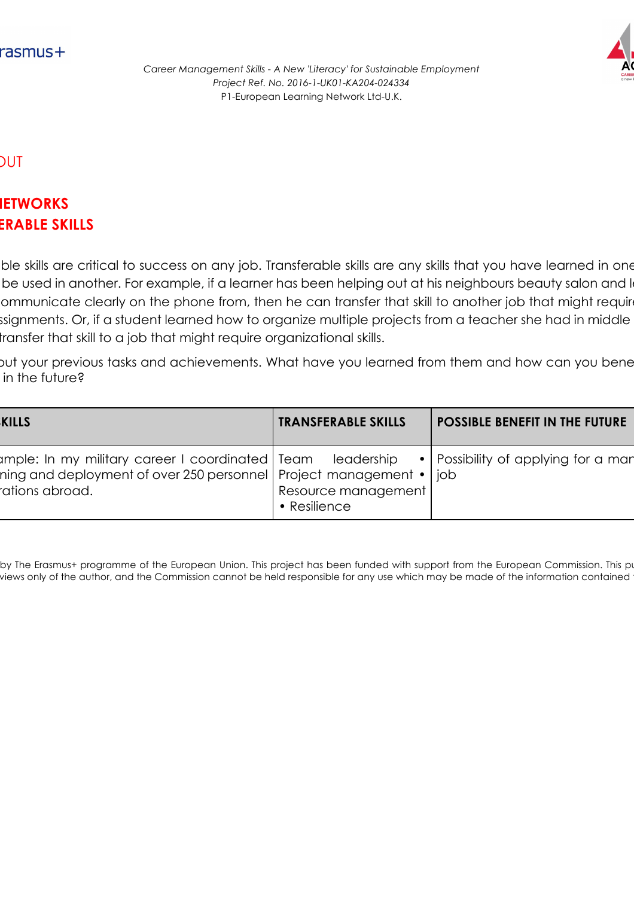

*Career Management Skills - A New 'Literacy' for Sustainable Employment Project Ref. No. 2016-1-UK01-KA204-024334* P1-European Learning Network Ltd-U.K.

## HAND-OUT

## **AREA:** NETWORKS **ERABLE SKILLS**

ble skills are critical to success on any job. Transferable skills are any skills that you have learned in one the used in another. For example, if a learner has been helping out at his neighbours beauty salon and learned ommunicate clearly on the phone from, then he can transfer that skill to another job that might require ssignments. Or, if a student learned how to organize multiple projects from a teacher she had in middle transfer that skill to a job that might require organizational skills.

out your previous tasks and achievements. What have you learned from them and how can you bene in the future?

| <b>KILLS</b>                                                                                                                                                                                    | <b>TRANSFERABLE SKILLS</b>                  | <b>POSSIBLE BENEFIT IN THE FUTURE</b> |
|-------------------------------------------------------------------------------------------------------------------------------------------------------------------------------------------------|---------------------------------------------|---------------------------------------|
| umple: In my military career I coordinated   Team Leadership •   Possibility of applying for a man<br>ning and deployment of over 250 personnel   Project management •   job<br>rations abroad. | Resource management<br>$\bullet$ Resilience |                                       |

by The Erasmus+ programme of the European Union. This project has been funded with support from the European Commission. This pu views only of the author, and the Commission cannot be held responsible for any use which may be made of the information contained